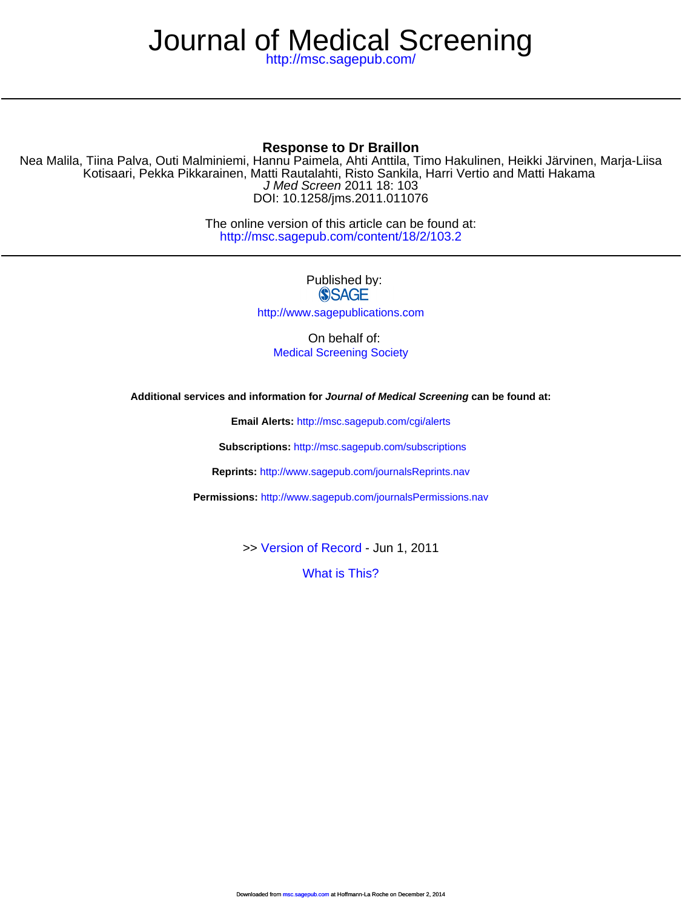# Journal of Medical Screening

<http://msc.sagepub.com/>

# **Response to Dr Braillon**

DOI: 10.1258/jms.2011.011076 J Med Screen 2011 18: 103 Kotisaari, Pekka Pikkarainen, Matti Rautalahti, Risto Sankila, Harri Vertio and Matti Hakama Nea Malila, Tiina Palva, Outi Malminiemi, Hannu Paimela, Ahti Anttila, Timo Hakulinen, Heikki Järvinen, Marja-Liisa

> <http://msc.sagepub.com/content/18/2/103.2> The online version of this article can be found at:

> > Published by: **SSAGE** <http://www.sagepublications.com>

On behalf of: [Medical Screening Society](http://www.medicalscreeningsociety.com/)

**Additional services and information for Journal of Medical Screening can be found at:**

**Email Alerts:** <http://msc.sagepub.com/cgi/alerts>

**Subscriptions:** <http://msc.sagepub.com/subscriptions>

**Reprints:** <http://www.sagepub.com/journalsReprints.nav>

**Permissions:** <http://www.sagepub.com/journalsPermissions.nav>

>> [Version of Record -](http://msc.sagepub.com/content/18/2/103.2.full.pdf) Jun 1, 2011

[What is This?](http://online.sagepub.com/site/sphelp/vorhelp.xhtml)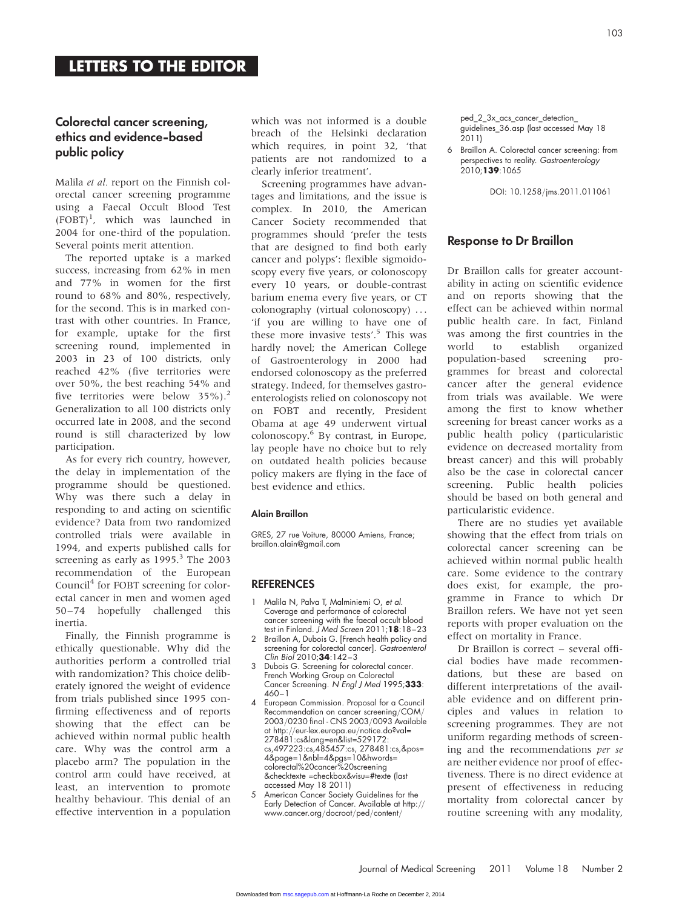## Colorectal cancer screening, ethics and evidence-based public policy

Malila et al. report on the Finnish colorectal cancer screening programme using a Faecal Occult Blood Test (FOBT)<sup>1</sup> , which was launched in 2004 for one-third of the population. Several points merit attention.

The reported uptake is a marked success, increasing from 62% in men and 77% in women for the first round to 68% and 80%, respectively, for the second. This is in marked contrast with other countries. In France, for example, uptake for the first screening round, implemented in 2003 in 23 of 100 districts, only reached 42% (five territories were over 50%, the best reaching 54% and five territories were below  $35\%$ ).<sup>2</sup> Generalization to all 100 districts only occurred late in 2008, and the second round is still characterized by low participation.

As for every rich country, however, the delay in implementation of the programme should be questioned. Why was there such a delay in responding to and acting on scientific evidence? Data from two randomized controlled trials were available in 1994, and experts published calls for screening as early as  $1995.<sup>3</sup>$  The 2003 recommendation of the European Council<sup>4</sup> for FOBT screening for colorectal cancer in men and women aged 50–74 hopefully challenged this inertia.

Finally, the Finnish programme is ethically questionable. Why did the authorities perform a controlled trial with randomization? This choice deliberately ignored the weight of evidence from trials published since 1995 confirming effectiveness and of reports showing that the effect can be achieved within normal public health care. Why was the control arm a placebo arm? The population in the control arm could have received, at least, an intervention to promote healthy behaviour. This denial of an effective intervention in a population

which was not informed is a double breach of the Helsinki declaration which requires, in point 32, 'that patients are not randomized to a clearly inferior treatment'.

Screening programmes have advantages and limitations, and the issue is complex. In 2010, the American Cancer Society recommended that programmes should 'prefer the tests that are designed to find both early cancer and polyps': flexible sigmoidoscopy every five years, or colonoscopy every 10 years, or double-contrast barium enema every five years, or CT colonography (virtual colonoscopy) ... 'if you are willing to have one of these more invasive tests'.<sup>5</sup> This was hardly novel; the American College of Gastroenterology in 2000 had endorsed colonoscopy as the preferred strategy. Indeed, for themselves gastroenterologists relied on colonoscopy not on FOBT and recently, President Obama at age 49 underwent virtual colonoscopy.<sup>6</sup> By contrast, in Europe, lay people have no choice but to rely on outdated health policies because policy makers are flying in the face of best evidence and ethics.

#### Alain Braillon

GRES, 27 rue Voiture, 80000 Amiens, France; [braillon.alain@gmail.com](mailto:braillon.alain@gmail.com)

#### **REFERENCES**

- 1 Malila N, Palva T, Malminiemi O, et al. Coverage and performance of colorectal cancer screening with the faecal occult blood test in Finland. J Med Screen 2011;18:18-23
- 2 Braillon A, Dubois G. [French health policy and screening for colorectal cancer]. Gastroenterol Clin Biol 2010;34:142–3
- 3 Dubois G. Screening for colorectal cancer. French Working Group on Colorectal Cancer Screening. N Engl J Med 1995;333: 460–1
- 4 European Commission. Proposal for a Council Recommendation on cancer screening/COM/ 2003/0230 final - CNS 2003/0093 Available at [http:](http://eur-lex.europa.eu/Notice.do?val=278481:cs&lang=en&list=529172:cs,497223:cs,485457:cs,278481:cs,&pos=4&page=1&nbl=4&pgs=10&hwords=colorectal%20cancer%20screening~&checktexte=checkbox&visu=%23texte)//[eur-lex.europa.eu](http://eur-lex.europa.eu/Notice.do?val=278481:cs&lang=en&list=529172:cs,497223:cs,485457:cs,278481:cs,&pos=4&page=1&nbl=4&pgs=10&hwords=colorectal%20cancer%20screening~&checktexte=checkbox&visu=%23texte)/notice.do?val= [278481:cs&lang=en&list=529172:](http://eur-lex.europa.eu/Notice.do?val=278481:cs&lang=en&list=529172:cs,497223:cs,485457:cs,278481:cs,&pos=4&page=1&nbl=4&pgs=10&hwords=colorectal%20cancer%20screening~&checktexte=checkbox&visu=%23texte) [cs,497223:cs,485457:cs, 278481:cs,&pos=](http://eur-lex.europa.eu/Notice.do?val=278481:cs&lang=en&list=529172:cs,497223:cs,485457:cs,278481:cs,&pos=4&page=1&nbl=4&pgs=10&hwords=colorectal%20cancer%20screening~&checktexte=checkbox&visu=%23texte) [4&page=1&nbl=4&pgs=10&hwords=](http://eur-lex.europa.eu/Notice.do?val=278481:cs&lang=en&list=529172:cs,497223:cs,485457:cs,278481:cs,&pos=4&page=1&nbl=4&pgs=10&hwords=colorectal%20cancer%20screening~&checktexte=checkbox&visu=%23texte) [colorectal%20cancer%20screening](http://eur-lex.europa.eu/Notice.do?val=278481:cs&lang=en&list=529172:cs,497223:cs,485457:cs,278481:cs,&pos=4&page=1&nbl=4&pgs=10&hwords=colorectal%20cancer%20screening~&checktexte=checkbox&visu=%23texte) [&checktexte =checkbox&visu=#texte](http://eur-lex.europa.eu/Notice.do?val=278481:cs&lang=en&list=529172:cs,497223:cs,485457:cs,278481:cs,&pos=4&page=1&nbl=4&pgs=10&hwords=colorectal%20cancer%20screening~&checktexte=checkbox&visu=%23texte) (last accessed May 18 2011)
- 5 American Cancer Society Guidelines for the Early Detection of Cancer. Available at [http:](http://www.cancer.org/docroot/ped/content/ped_2_3x_acs_cancer_detection_guidelines_36.asp)// [www.cancer.org](http://www.cancer.org/docroot/ped/content/ped_2_3x_acs_cancer_detection_guidelines_36.asp)/docroot/ped/content/

ped 2 3x acs cancer detection [guidelines\\_36.asp](http://www.cancer.org/docroot/ped/content/ped_2_3x_acs_cancer_detection_guidelines_36.asp) (last accessed May 18 2011)

6 Braillon A. Colorectal cancer screening: from perspectives to reality. Gastroenterology 2010;139:1065

DOI: 10.1258/jms.2011.011061

## Response to Dr Braillon

Dr Braillon calls for greater accountability in acting on scientific evidence and on reports showing that the effect can be achieved within normal public health care. In fact, Finland was among the first countries in the world to establish organized population-based screening programmes for breast and colorectal cancer after the general evidence from trials was available. We were among the first to know whether screening for breast cancer works as a public health policy (particularistic evidence on decreased mortality from breast cancer) and this will probably also be the case in colorectal cancer screening. Public health policies should be based on both general and particularistic evidence.

There are no studies yet available showing that the effect from trials on colorectal cancer screening can be achieved within normal public health care. Some evidence to the contrary does exist, for example, the programme in France to which Dr Braillon refers. We have not yet seen reports with proper evaluation on the effect on mortality in France.

Dr Braillon is correct – several official bodies have made recommendations, but these are based on different interpretations of the available evidence and on different principles and values in relation to screening programmes. They are not uniform regarding methods of screening and the recommendations per se are neither evidence nor proof of effectiveness. There is no direct evidence at present of effectiveness in reducing mortality from colorectal cancer by routine screening with any modality,